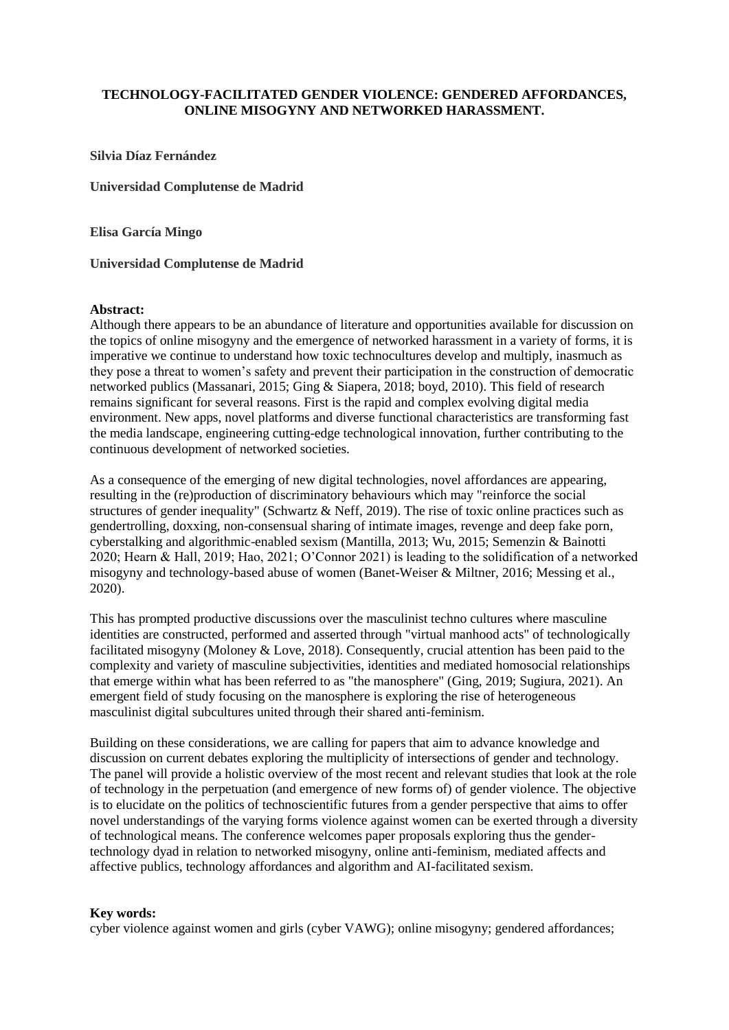# **TECHNOLOGY-FACILITATED GENDER VIOLENCE: GENDERED AFFORDANCES, ONLINE MISOGYNY AND NETWORKED HARASSMENT.**

## **Silvia Díaz Fernández**

**Universidad Complutense de Madrid**

**Elisa García Mingo**

## **Universidad Complutense de Madrid**

## **Abstract:**

Although there appears to be an abundance of literature and opportunities available for discussion on the topics of online misogyny and the emergence of networked harassment in a variety of forms, it is imperative we continue to understand how toxic technocultures develop and multiply, inasmuch as they pose a threat to women's safety and prevent their participation in the construction of democratic networked publics (Massanari, 2015; Ging & Siapera, 2018; boyd, 2010). This field of research remains significant for several reasons. First is the rapid and complex evolving digital media environment. New apps, novel platforms and diverse functional characteristics are transforming fast the media landscape, engineering cutting-edge technological innovation, further contributing to the continuous development of networked societies.

As a consequence of the emerging of new digital technologies, novel affordances are appearing, resulting in the (re)production of discriminatory behaviours which may "reinforce the social structures of gender inequality" (Schwartz & Neff, 2019). The rise of toxic online practices such as gendertrolling, doxxing, non-consensual sharing of intimate images, revenge and deep fake porn, cyberstalking and algorithmic-enabled sexism (Mantilla, 2013; Wu, 2015; Semenzin & Bainotti 2020; Hearn & Hall, 2019; Hao, 2021; O'Connor 2021) is leading to the solidification of a networked misogyny and technology-based abuse of women (Banet-Weiser & Miltner, 2016; Messing et al., 2020).

This has prompted productive discussions over the masculinist techno cultures where masculine identities are constructed, performed and asserted through "virtual manhood acts" of technologically facilitated misogyny (Moloney & Love, 2018). Consequently, crucial attention has been paid to the complexity and variety of masculine subjectivities, identities and mediated homosocial relationships that emerge within what has been referred to as "the manosphere" (Ging, 2019; Sugiura, 2021). An emergent field of study focusing on the manosphere is exploring the rise of heterogeneous masculinist digital subcultures united through their shared anti-feminism.

Building on these considerations, we are calling for papers that aim to advance knowledge and discussion on current debates exploring the multiplicity of intersections of gender and technology. The panel will provide a holistic overview of the most recent and relevant studies that look at the role of technology in the perpetuation (and emergence of new forms of) of gender violence. The objective is to elucidate on the politics of technoscientific futures from a gender perspective that aims to offer novel understandings of the varying forms violence against women can be exerted through a diversity of technological means. The conference welcomes paper proposals exploring thus the gendertechnology dyad in relation to networked misogyny, online anti-feminism, mediated affects and affective publics, technology affordances and algorithm and AI-facilitated sexism.

# **Key words:**

cyber violence against women and girls (cyber VAWG); online misogyny; gendered affordances;